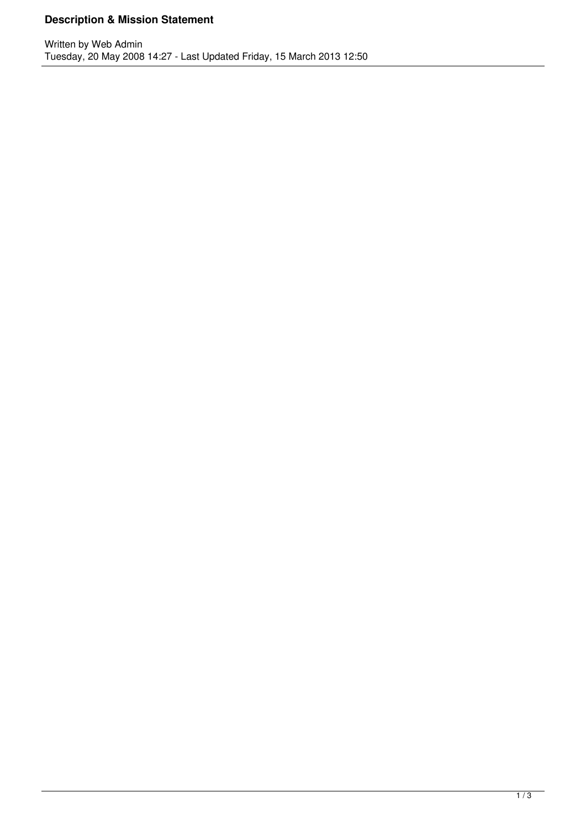## **Description & Mission Statement**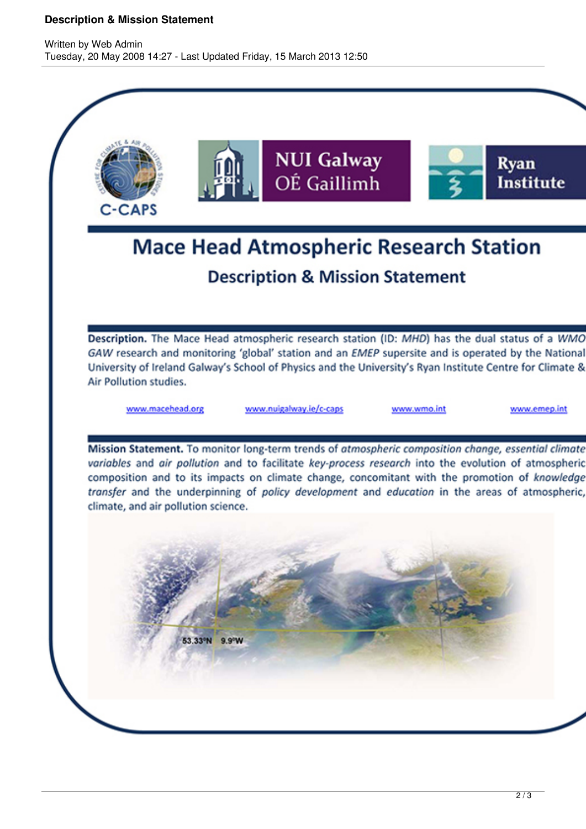## **Description & Mission Statement**